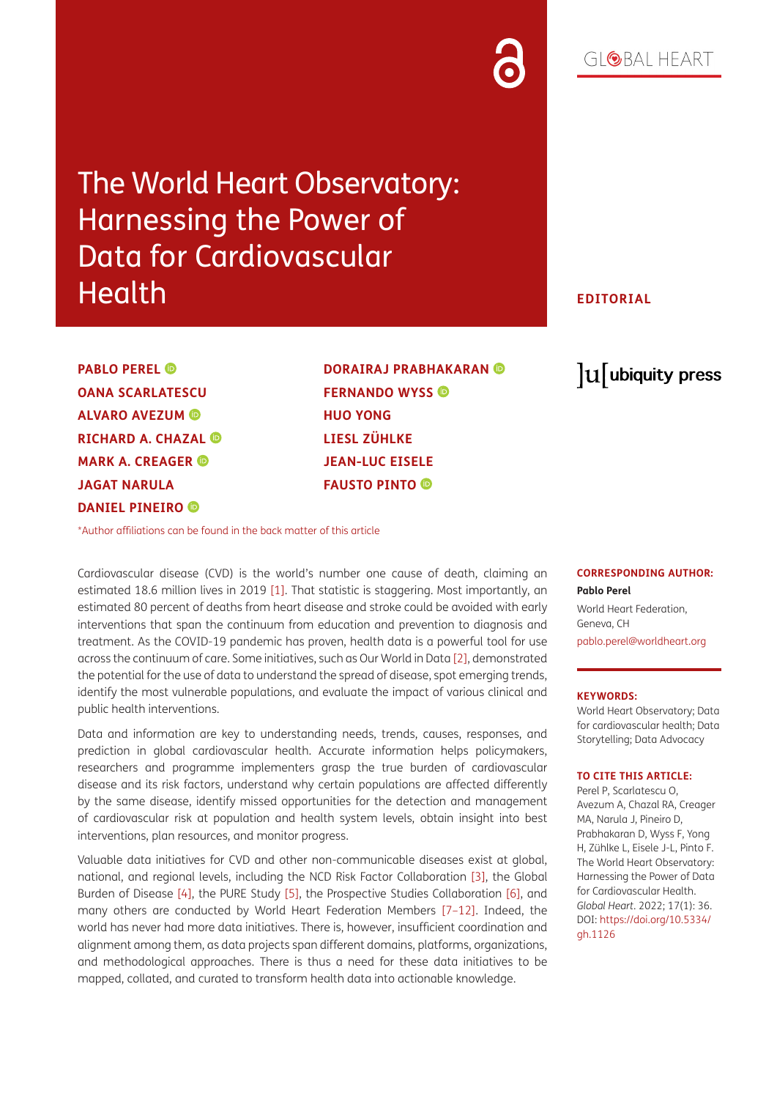# The World Heart Observatory: Harnessing the Power of Data for Cardiovascular Health

# **EDITORIAL**

**PABLO PEREL OANA SCARLATESCU ALVARO AVEZUM RICHARD A. CHAZAL MARK A. CREAGER JAGAT NARULA DANIEL PINEIRO** 

**DORAIRAJ PRABHAKARAN FERNANDO WYSS HUO YONG LIESL ZÜHLKE JEAN-LUC EISELE FAUSTO PINTO** 

# lu ubiquity press

[\\*Author affiliations can be found in the back matter of this article](#page-1-0)

Cardiovascular disease (CVD) is the world's number one cause of death, claiming an estimated 18.6 million lives in 2019 [\[1](#page-2-0)]. That statistic is staggering. Most importantly, an estimated 80 percent of deaths from heart disease and stroke could be avoided with early interventions that span the continuum from education and prevention to diagnosis and treatment. As the COVID-19 pandemic has proven, health data is a powerful tool for use across the continuum of care. Some initiatives, such as Our World in Data [\[2](#page-2-1)], demonstrated the potential for the use of data to understand the spread of disease, spot emerging trends, identify the most vulnerable populations, and evaluate the impact of various clinical and public health interventions.

Data and information are key to understanding needs, trends, causes, responses, and prediction in global cardiovascular health. Accurate information helps policymakers, researchers and programme implementers grasp the true burden of cardiovascular disease and its risk factors, understand why certain populations are affected differently by the same disease, identify missed opportunities for the detection and management of cardiovascular risk at population and health system levels, obtain insight into best interventions, plan resources, and monitor progress.

Valuable data initiatives for CVD and other non-communicable diseases exist at global, national, and regional levels, including the NCD Risk Factor Collaboration [[3](#page-2-2)], the Global Burden of Disease [[4](#page-2-3)], the PURE Study [\[5](#page-2-4)], the Prospective Studies Collaboration [[6\]](#page-2-5), and many others are conducted by World Heart Federation Members [\[7–](#page-2-6)[12](#page-2-7)]. Indeed, the world has never had more data initiatives. There is, however, insufficient coordination and alignment among them, as data projects span different domains, platforms, organizations, and methodological approaches. There is thus a need for these data initiatives to be mapped, collated, and curated to transform health data into actionable knowledge.

# **CORRESPONDING AUTHOR:**

**Pablo Perel** World Heart Federation, Geneva, CH [pablo.perel@worldheart.org](mailto:pablo.perel@worldheart.org)

#### **KEYWORDS:**

World Heart Observatory; Data for cardiovascular health; Data Storytelling; Data Advocacy

#### **TO CITE THIS ARTICLE:**

Perel P, Scarlatescu O, Avezum A, Chazal RA, Creager MA, Narula J, Pineiro D, Prabhakaran D, Wyss F, Yong H, Zühlke L, Eisele J-L, Pinto F. The World Heart Observatory: Harnessing the Power of Data for Cardiovascular Health. *Global Heart*. 2022; 17(1): 36. DOI: [https://doi.org/10.5334/](https://doi.org/10.5334/gh.1126) [gh.1126](https://doi.org/10.5334/gh.1126)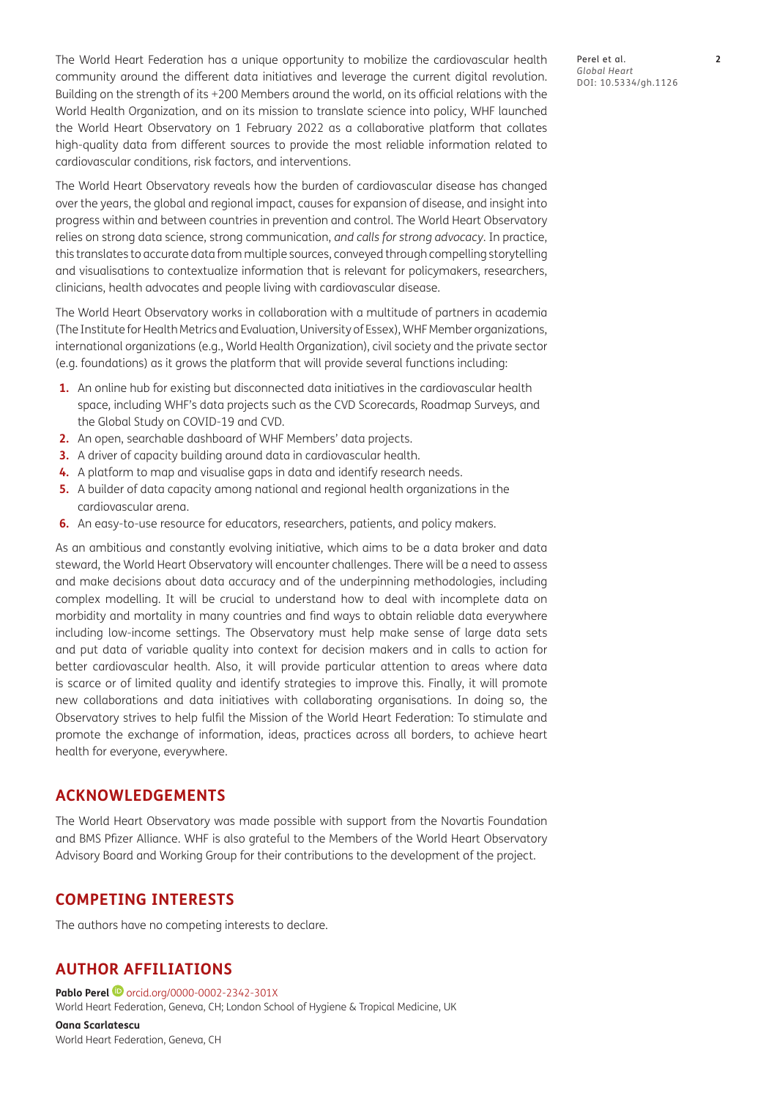The World Heart Federation has a unique opportunity to mobilize the cardiovascular health community around the different data initiatives and leverage the current digital revolution. Building on the strength of its +200 Members around the world, on its official relations with the World Health Organization, and on its mission to translate science into policy, WHF launched the World Heart Observatory on 1 February 2022 as a collaborative platform that collates high-quality data from different sources to provide the most reliable information related to cardiovascular conditions, risk factors, and interventions.

The World Heart Observatory reveals how the burden of cardiovascular disease has changed over the years, the global and regional impact, causes for expansion of disease, and insight into progress within and between countries in prevention and control. The World Heart Observatory relies on strong data science, strong communication, *and calls for strong advocacy*. In practice, this translates to accurate data from multiple sources, conveyed through compelling storytelling and visualisations to contextualize information that is relevant for policymakers, researchers, clinicians, health advocates and people living with cardiovascular disease.

The World Heart Observatory works in collaboration with a multitude of partners in academia (The Institute for Health Metrics and Evaluation, University of Essex), WHF Member organizations, international organizations (e.g., World Health Organization), civil society and the private sector (e.g. foundations) as it grows the platform that will provide several functions including:

- **1.** An online hub for existing but disconnected data initiatives in the cardiovascular health space, including WHF's data projects such as the CVD Scorecards, Roadmap Surveys, and the Global Study on COVID-19 and CVD.
- **2.** An open, searchable dashboard of WHF Members' data projects.
- **3.** A driver of capacity building around data in cardiovascular health.
- **4.** A platform to map and visualise gaps in data and identify research needs.
- **5.** A builder of data capacity among national and regional health organizations in the cardiovascular arena.
- **6.** An easy-to-use resource for educators, researchers, patients, and policy makers.

As an ambitious and constantly evolving initiative, which aims to be a data broker and data steward, the World Heart Observatory will encounter challenges. There will be a need to assess and make decisions about data accuracy and of the underpinning methodologies, including complex modelling. It will be crucial to understand how to deal with incomplete data on morbidity and mortality in many countries and find ways to obtain reliable data everywhere including low-income settings. The Observatory must help make sense of large data sets and put data of variable quality into context for decision makers and in calls to action for better cardiovascular health. Also, it will provide particular attention to areas where data is scarce or of limited quality and identify strategies to improve this. Finally, it will promote new collaborations and data initiatives with collaborating organisations. In doing so, the Observatory strives to help fulfil the Mission of the World Heart Federation: To stimulate and promote the exchange of information, ideas, practices across all borders, to achieve heart health for everyone, everywhere.

# **ACKNOWLEDGEMENTS**

The World Heart Observatory was made possible with support from the Novartis Foundation and BMS Pfizer Alliance. WHF is also grateful to the Members of the World Heart Observatory Advisory Board and Working Group for their contributions to the development of the project.

# **COMPETING INTERESTS**

The authors have no competing interests to declare.

# <span id="page-1-0"></span>**AUTHOR AFFILIATIONS**

**Pablo Perel D** [orcid.org/0000-0002-2342-301X](https://orcid.org/0000-0002-2342-301X) World Heart Federation, Geneva, CH; London School of Hygiene & Tropical Medicine, UK

**Oana Scarlatescu** World Heart Federation, Geneva, CH Perel et al. **2** *Global Heart* DOI: 10.5334/gh.1126